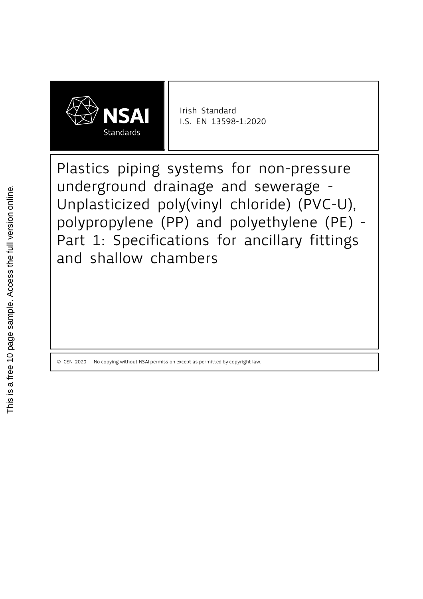

Irish Standard I.S. EN 13598-1:2020

Plastics piping systems for non-pressure underground drainage and sewerage - Unplasticized poly(vinyl chloride) (PVC-U), polypropylene (PP) and polyethylene (PE) - Part 1: Specifications for ancillary fittings and shallow chambers Examples and the central conduct of the full version of the full version of the sample of the full polypropylene (PP) and polye<br>
Part 1: Specifications for an<br>
and shallow chambers<br>  $\frac{1}{2}$ <br>  $\frac{1}{2}$ <br>  $\frac{1}{2}$ <br>  $\frac{1}{2$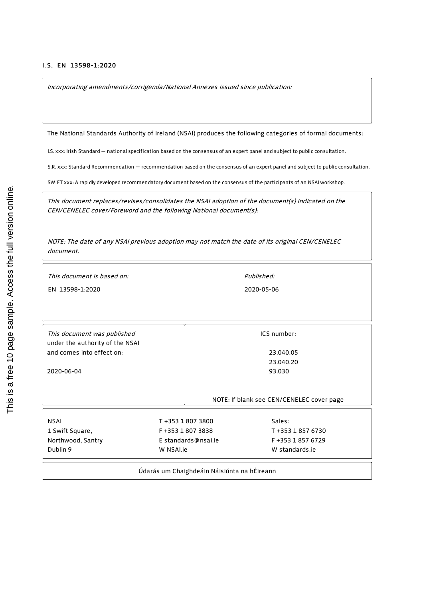#### I.S. EN 13598-1:2020

Incorporating amendments/corrigenda/National Annexes issued since publication:

The National Standards Authority of Ireland (NSAI) produces the following categories of formal documents:

I.S. xxx: Irish Standard — national specification based on the consensus of an expert panel and subject to public consultation.

S.R. xxx: Standard Recommendation - recommendation based on the consensus of an expert panel and subject to public consultation.

SWiFT xxx: A rapidly developed recommendatory document based on the consensus of the participants of an NSAI workshop.

This document replaces/revises/consolidates the NSAI adoption of the document(s) indicated on the CEN/CENELEC cover/Foreword and the following National document(s):

NOTE: The date of any NSAI previous adoption may not match the date of its original CEN/CENELEC document.

This document is based on: EN 13598-1:2020

Published: 2020-05-06

| This document was published<br>under the authority of the NSAI |          | ICS number:                               |
|----------------------------------------------------------------|----------|-------------------------------------------|
| and comes into effect on:                                      |          | 23.040.05                                 |
|                                                                |          | 23.040.20                                 |
| 2020-06-04                                                     |          | 93.030                                    |
|                                                                |          |                                           |
|                                                                |          | NOTE: If blank see CEN/CENELEC cover page |
|                                                                |          |                                           |
| NSAI                                                           |          | T+353 1 807 3800<br>Sales:                |
| 1 Swift Square,                                                |          | F+353 1 807 3838<br>T+353 1857 6730       |
| Northwood, Santry                                              |          | E standards@nsai.ie<br>F +353 1 857 6729  |
| Dublin 9                                                       | W NSALie | W standards.ie                            |
|                                                                |          |                                           |

Údarás um Chaighdeáin Náisiúnta na hÉireann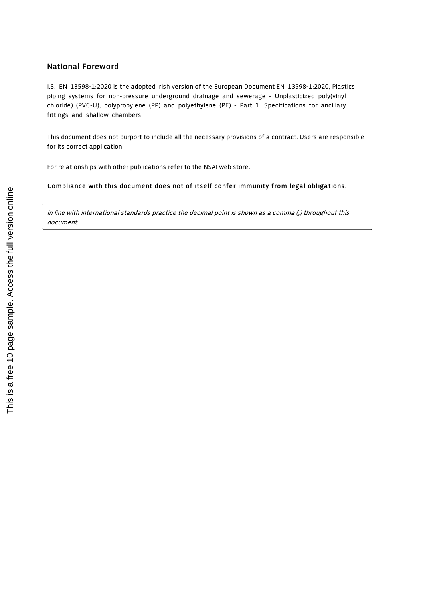### National Foreword

I.S. EN 13598-1:2020 is the adopted Irish version of the European Document EN 13598-1:2020, Plastics piping systems for non-pressure underground drainage and sewerage - Unplasticized poly(vinyl chloride) (PVC-U), polypropylene (PP) and polyethylene (PE) - Part 1: Specifications for ancillary fittings and shallow chambers

This document does not purport to include all the necessary provisions of a contract. Users are responsible for its correct application.

For relationships with other publications refer to the NSAI web store.

Compliance with this document does not of itself confer immunity from legal obligations.

In line with international standards practice the decimal point is shown as a comma (,) throughout this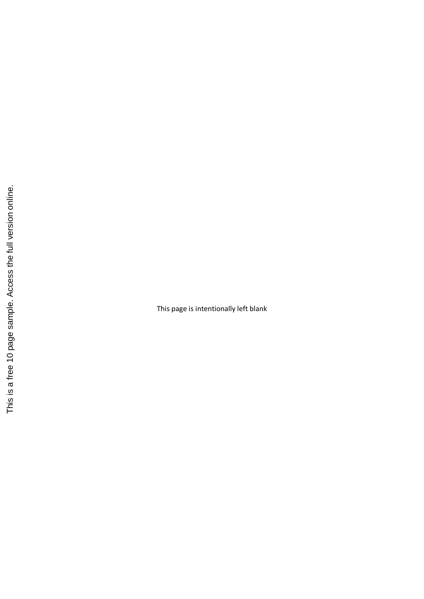This page is intentionally left blank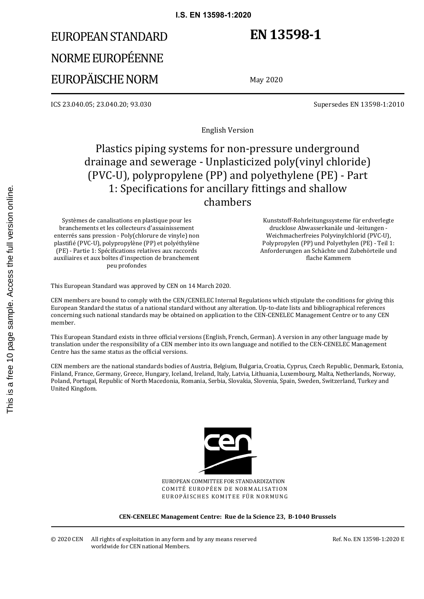#### **I.S. EN 13598-1:2020**

# EUROPEAN STANDARD NORME EUROPÉENNE EUROPÄISCHE NORM

# **EN 13598-1**

May 2020

ICS 23.040.05; 23.040.20; 93.030 Supersedes EN 13598-1:2010

English Version

## Plastics piping systems for non-pressure underground drainage and sewerage - Unplasticized poly(vinyl chloride) (PVC-U), polypropylene (PP) and polyethylene (PE) - Part 1: Specifications for ancillary fittings and shallow chambers

Systèmes de canalisations en plastique pour les branchements et les collecteurs d'assainissement enterrés sans pression - Poly(chlorure de vinyle) non plastifié (PVC-U), polypropylène (PP) et polyéthylène (PE) - Partie 1: Spécifications relatives aux raccords auxiliaires et aux boîtes d'inspection de branchement peu profondes

 Kunststoff-Rohrleitungssysteme für erdverlegte drucklose Abwasserkanäle und -leitungen - Weichmacherfreies Polyvinylchlorid (PVC-U), Polypropylen (PP) und Polyethylen (PE) - Teil 1: Anforderungen an Schächte und Zubehörteile und flache Kammern

This European Standard was approved by CEN on 14 March 2020.

CEN members are bound to comply with the CEN/CENELEC Internal Regulations which stipulate the conditions for giving this European Standard the status of a national standard without any alteration. Up-to-date lists and bibliographical references concerning such national standards may be obtained on application to the CEN-CENELEC Management Centre or to any CEN member.

This European Standard exists in three official versions (English, French, German). A version in any other language made by translation under the responsibility of a CEN member into its own language and notified to the CEN-CENELEC Management Centre has the same status as the official versions.

CEN members are the national standards bodies of Austria, Belgium, Bulgaria, Croatia, Cyprus, Czech Republic, Denmark, Estonia, Finland, France, Germany, Greece, Hungary, Iceland, Ireland, Italy, Latvia, Lithuania, Luxembourg, Malta, Netherlands, Norway, Poland, Portugal, Republic of North Macedonia, Romania, Serbia, Slovakia, Slovenia, Spain, Sweden, Switzerland, Turkey and United Kingdom.



EUROPEAN COMMITTEE FOR STANDARDIZATION COMITÉ EUROPÉEN DE NORMALISATION EUROPÄISCHES KOMITEE FÜR NORMUNG

**CEN-CENELEC Management Centre: Rue de la Science 23, B-1040 Brussels** 

Ref. No. EN 13598-1:2020 E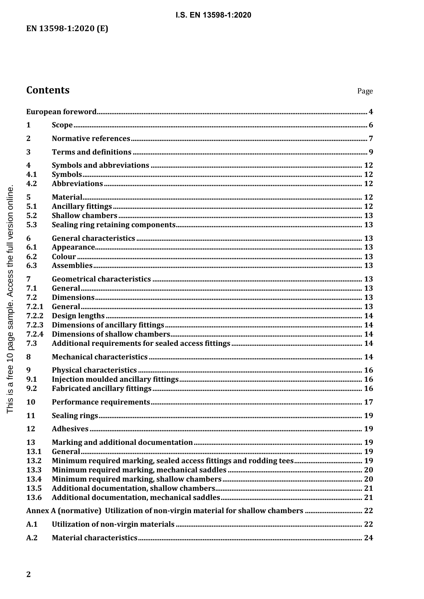# **Contents**

| 1                       |                                                                                 |  |  |
|-------------------------|---------------------------------------------------------------------------------|--|--|
| 2                       |                                                                                 |  |  |
| 3                       |                                                                                 |  |  |
| $\overline{\mathbf{4}}$ |                                                                                 |  |  |
| 4.1                     |                                                                                 |  |  |
| 4.2                     |                                                                                 |  |  |
| 5                       |                                                                                 |  |  |
| 5.1                     |                                                                                 |  |  |
| 5.2<br>5.3              |                                                                                 |  |  |
|                         |                                                                                 |  |  |
| 6<br>6.1                |                                                                                 |  |  |
| 6.2                     |                                                                                 |  |  |
| 6.3                     |                                                                                 |  |  |
| 7                       |                                                                                 |  |  |
| 7.1                     |                                                                                 |  |  |
| 7.2                     |                                                                                 |  |  |
| 7.2.1                   |                                                                                 |  |  |
| 7.2.2                   |                                                                                 |  |  |
| 7.2.3<br>7.2.4          |                                                                                 |  |  |
| 7.3                     |                                                                                 |  |  |
| 8                       |                                                                                 |  |  |
|                         |                                                                                 |  |  |
| 9<br>9.1                |                                                                                 |  |  |
| 9.2                     |                                                                                 |  |  |
| 10                      |                                                                                 |  |  |
| 11                      |                                                                                 |  |  |
| 12                      |                                                                                 |  |  |
|                         |                                                                                 |  |  |
| 13<br>13.1              |                                                                                 |  |  |
| 13.2                    |                                                                                 |  |  |
| 13.3                    |                                                                                 |  |  |
| 13.4                    |                                                                                 |  |  |
| 13.5                    |                                                                                 |  |  |
| 13.6                    |                                                                                 |  |  |
|                         | Annex A (normative) Utilization of non-virgin material for shallow chambers  22 |  |  |
| A.1                     |                                                                                 |  |  |
| A.2                     |                                                                                 |  |  |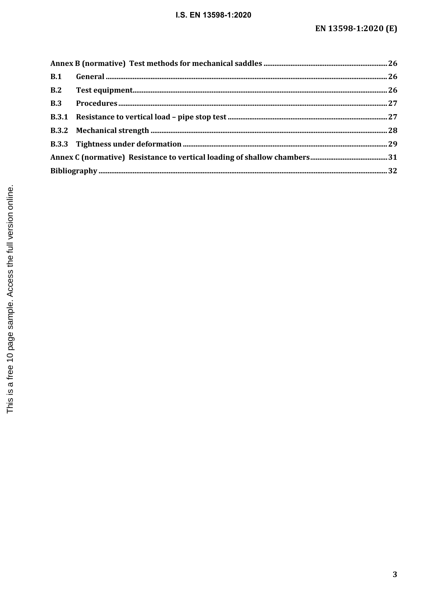| B.2 |  |  |
|-----|--|--|
|     |  |  |
|     |  |  |
|     |  |  |
|     |  |  |
|     |  |  |
|     |  |  |
|     |  |  |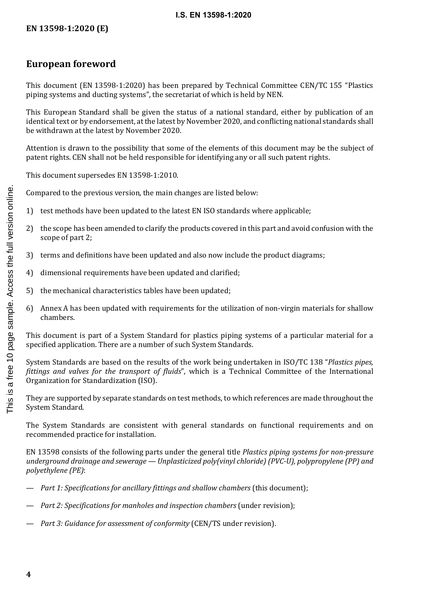### <span id="page-7-0"></span>**European foreword**

This document (EN 13598-1:2020) has been prepared by Technical Committee CEN/TC 155 "Plastics piping systems and ducting systems", the secretariat of which is held by NEN.

This European Standard shall be given the status of a national standard, either by publication of an identical text or by endorsement, at the latest by November 2020, and conflicting national standards shall be withdrawn at the latest by November 2020.

Attention is drawn to the possibility that some of the elements of this document may be the subject of patent rights. CEN shall not be held responsible for identifying any or all such patent rights.

This document supersedes EN 13598-1:2010.

Compared to the previous version, the main changes are listed below:

- 1) test methods have been updated to the latest EN ISO standards where applicable;
- 2) the scope has been amended to clarify the products covered in this part and avoid confusion with the scope of part 2;
- 3) terms and definitions have been updated and also now include the product diagrams;
- 4) dimensional requirements have been updated and clarified;
- 5) the mechanical characteristics tables have been updated;
- 6) Annex A has been updated with requirements for the utilization of non-virgin materials for shallow chambers.

This document is part of a System Standard for plastics piping systems of a particular material for a specified application. There are a number of such System Standards.

System Standards are based on the results of the work being undertaken in ISO/TC 138 "*Plastics pipes, fittings and valves for the transport of fluids*", which is a Technical Committee of the International Organization for Standardization (ISO).

They are supported by separate standards on test methods, to which references are made throughout the System Standard.

The System Standards are consistent with general standards on functional requirements and on recommended practice for installation.

EN 13598 consists of the following parts under the general title *Plastics piping systems for non-pressure underground drainage and sewerage — Unplasticized poly(vinyl chloride) (PVC-U), polypropylene (PP) and polyethylene (PE)*:

- *Part 1: Specifications for ancillary fittings and shallow chambers* (this document);
- *Part 2: Specifications for manholes and inspection chambers* (under revision);
- *Part 3: Guidance for assessment of conformity* (CEN/TS under revision).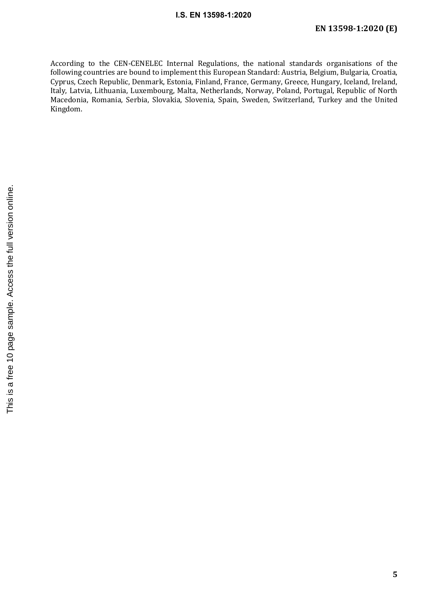According to the CEN-CENELEC Internal Regulations, the national standards organisations of the following countries are bound to implement this European Standard: Austria, Belgium, Bulgaria, Croatia, Cyprus, Czech Republic, Denmark, Estonia, Finland, France, Germany, Greece, Hungary, Iceland, Ireland, Italy, Latvia, Lithuania, Luxembourg, Malta, Netherlands, Norway, Poland, Portugal, Republic of North Macedonia, Romania, Serbia, Slovakia, Slovenia, Spain, Sweden, Switzerland, Turkey and the United Kingdom.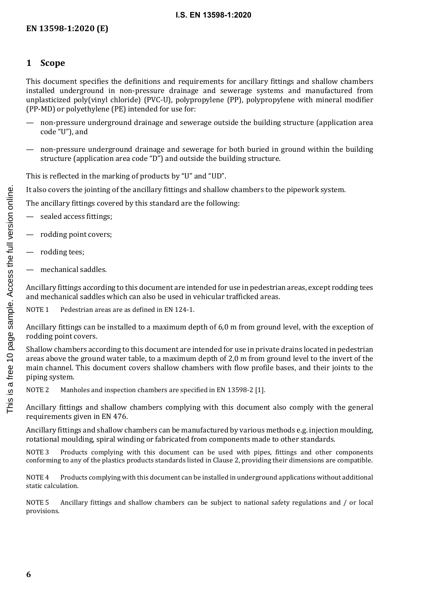### <span id="page-9-0"></span>**1 Scope**

This document specifies the definitions and requirements for ancillary fittings and shallow chambers installed underground in non-pressure drainage and sewerage systems and manufactured from unplasticized poly(vinyl chloride) (PVC-U), polypropylene (PP), polypropylene with mineral modifier (PP-MD) or polyethylene (PE) intended for use for:

- non-pressure underground drainage and sewerage outside the building structure (application area code "U"), and
- non-pressure underground drainage and sewerage for both buried in ground within the building structure (application area code "D") and outside the building structure.

This is reflected in the marking of products by "U" and "UD".

It also covers the jointing of the ancillary fittings and shallow chambers to the pipework system.

The ancillary fittings covered by this standard are the following:

- sealed access fittings;
- rodding point covers;
- rodding tees;
- mechanical saddles.

Ancillary fittings according to this document are intended for use in pedestrian areas, except rodding tees and mechanical saddles which can also be used in vehicular trafficked areas.

NOTE 1 Pedestrian areas are as defined in EN 124-1.

Ancillary fittings can be installed to a maximum depth of 6,0 m from ground level, with the exception of rodding point covers.

Shallow chambers according to this document are intended for use in private drains located in pedestrian areas above the ground water table, to a maximum depth of 2,0 m from ground level to the invert of the main channel. This document covers shallow chambers with flow profile bases, and their joints to the piping system.

NOTE 2 Manholes and inspection chambers are specified in EN 13598-2 [1].

Ancillary fittings and shallow chambers complying with this document also comply with the general requirements given in EN 476.

Ancillary fittings and shallow chambers can be manufactured by various methods e.g. injection moulding, rotational moulding, spiral winding or fabricated from components made to other standards.

NOTE 3 Products complying with this document can be used with pipes, fittings and other components conforming to any of the plastics products standards listed in Clause 2, providing their dimensions are compatible.

NOTE 4 Products complying with this document can be installed in underground applications without additional static calculation.

NOTE 5 Ancillary fittings and shallow chambers can be subject to national safety regulations and / or local provisions.